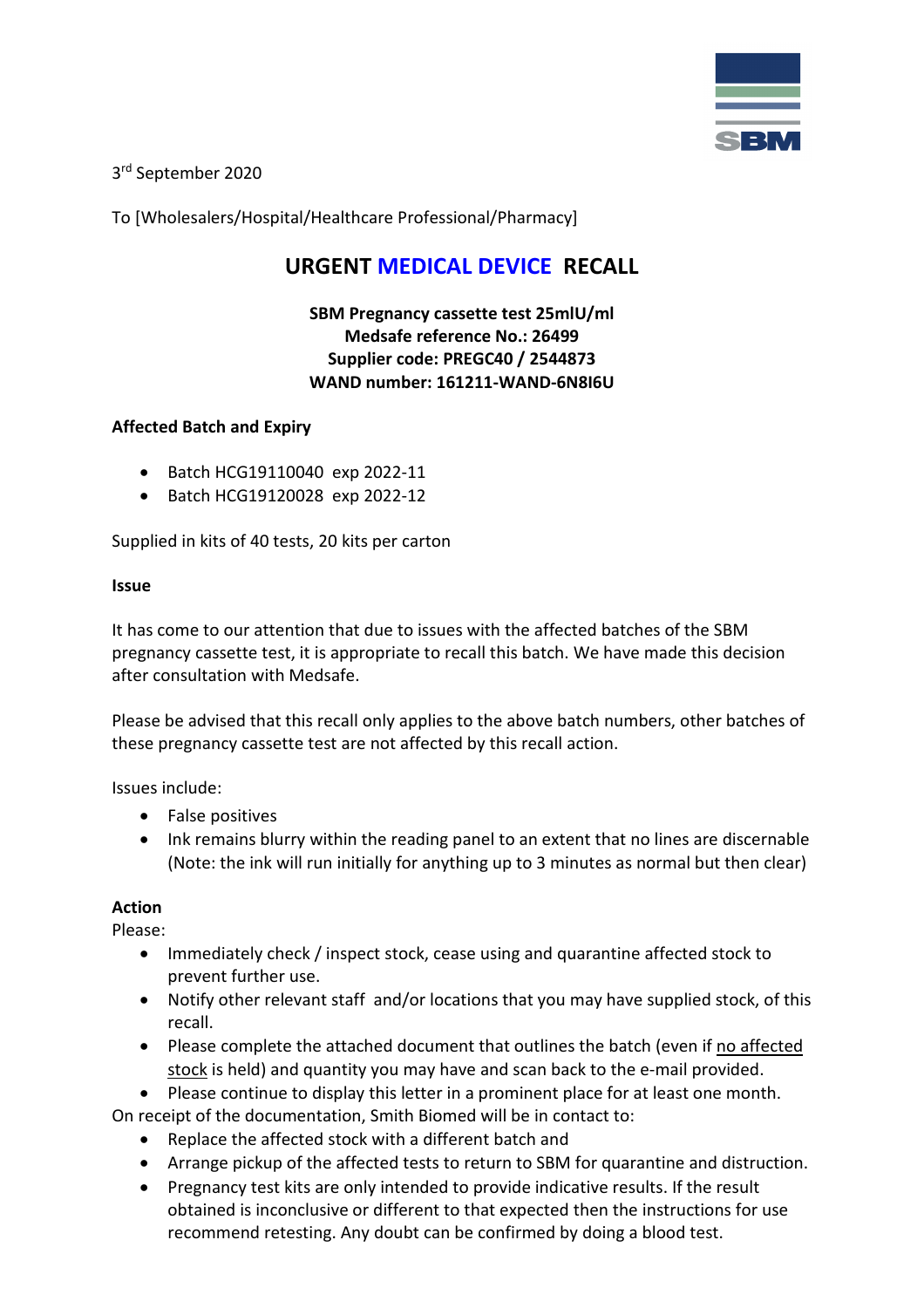

3rd September 2020

To [Wholesalers/Hospital/Healthcare Professional/Pharmacy]

# **URGENT MEDICAL DEVICE RECALL**

**SBM Pregnancy cassette test 25mlU/ml Medsafe reference No.: 26499 Supplier code: PREGC40 / 2544873 WAND number: [161211-WAND-6N8I6U](https://www.medsafe.govt.nz/WAND/MedicalDeviceDetails.aspx?id=71470)**

## **Affected Batch and Expiry**

- Batch HCG19110040 exp 2022-11
- Batch HCG19120028 exp 2022-12

Supplied in kits of 40 tests, 20 kits per carton

### **Issue**

It has come to our attention that due to issues with the affected batches of the SBM pregnancy cassette test, it is appropriate to recall this batch. We have made this decision after consultation with Medsafe.

Please be advised that this recall only applies to the above batch numbers, other batches of these pregnancy cassette test are not affected by this recall action.

Issues include:

- False positives
- Ink remains blurry within the reading panel to an extent that no lines are discernable (Note: the ink will run initially for anything up to 3 minutes as normal but then clear)

### **Action**

Please:

- Immediately check / inspect stock, cease using and quarantine affected stock to prevent further use.
- Notify other relevant staff and/or locations that you may have supplied stock, of this recall.
- Please complete the attached document that outlines the batch (even if no affected stock is held) and quantity you may have and scan back to the e-mail provided.
- Please continue to display this letter in a prominent place for at least one month.

On receipt of the documentation, Smith Biomed will be in contact to:

- Replace the affected stock with a different batch and
- Arrange pickup of the affected tests to return to SBM for quarantine and distruction.
- Pregnancy test kits are only intended to provide indicative results. If the result obtained is inconclusive or different to that expected then the instructions for use recommend retesting. Any doubt can be confirmed by doing a blood test.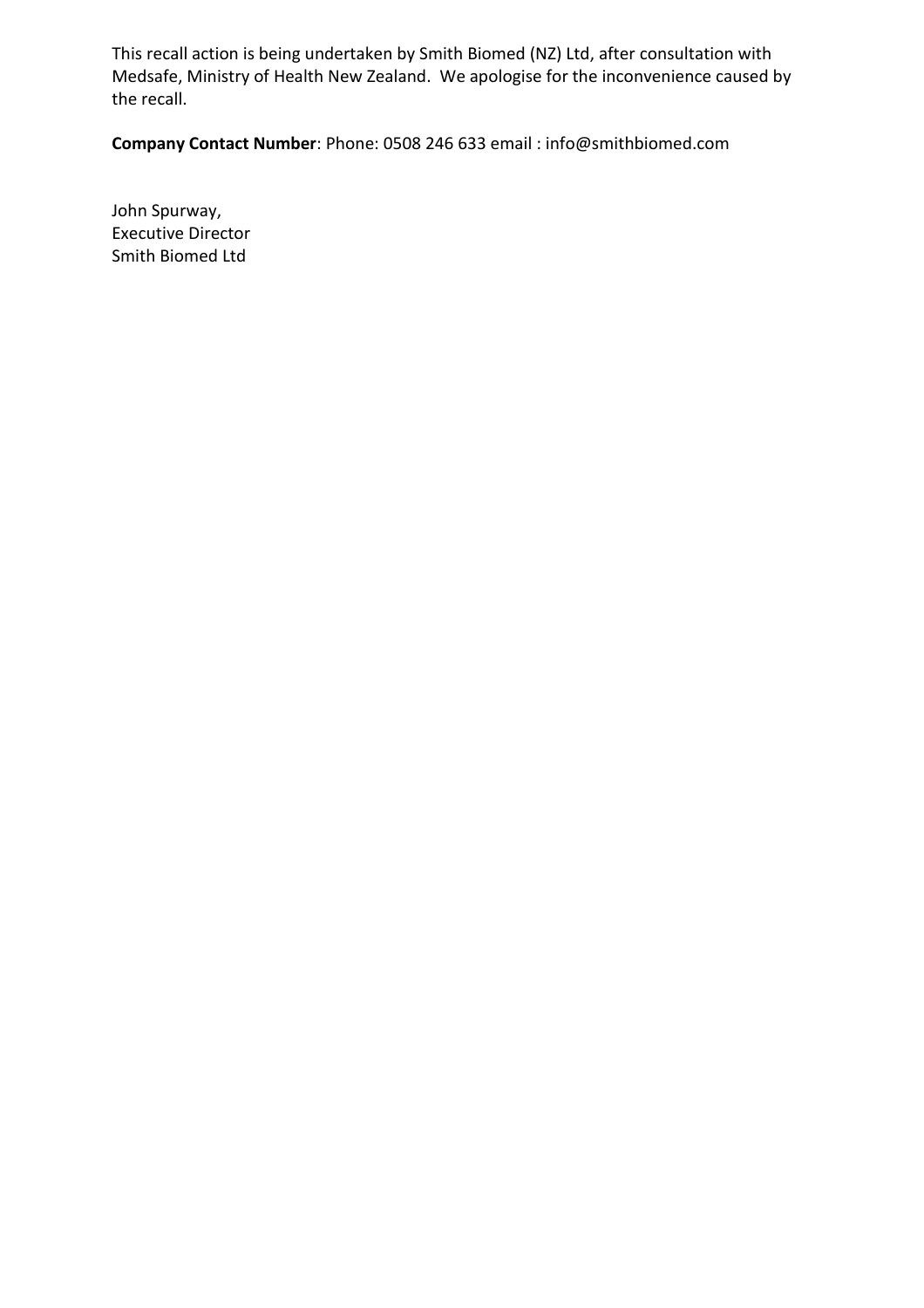This recall action is being undertaken by Smith Biomed (NZ) Ltd, after consultation with Medsafe, Ministry of Health New Zealand. We apologise for the inconvenience caused by the recall.

**Company Contact Number**: Phone: 0508 246 633 email : info@smithbiomed.com

John Spurway, Executive Director Smith Biomed Ltd